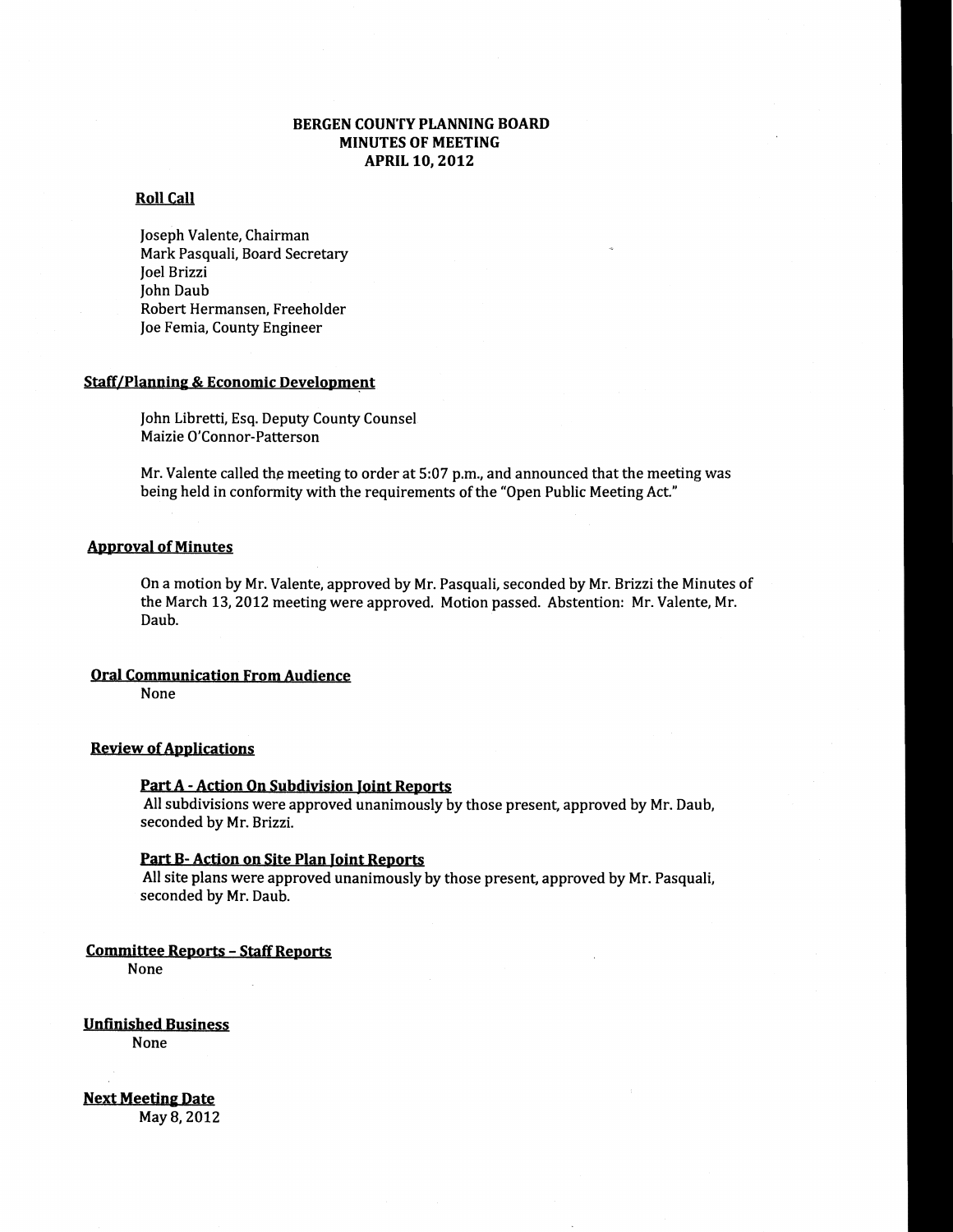### BERGEN COUNTY PLANNING BOARD MINUTES OF MEETING APRIL 10, 2012

### Roll Call

Joseph Valente, Chairman Mark Pasquali, Board Secretary Joel Brizzi John Daub Robert Hermansen, Freeholder Joe Femia, County Engineer

#### Staff/Planning & Economic Development

John Libretti, Esq. Deputy County Counsel Maizie O'Connor-Patterson

Mr. Valente called the meeting to order at  $5:07$  p.m., and announced that the meeting was being held in conformity with the requirements of the "Open Public Meeting Act."

#### Approval of Minutes

On a motion by Mr. Valente, approved by Mr. PasquaIi, seconded by Mr. Brizzi the Minutes of the March 13,2012 meeting were approved. Motion passed. Abstention: Mr. Valente, Mr. Daub.

#### Oral Communication From Audience

None

#### **Review of Applications**

#### Part A - Action On Subdivision Joint Reports

All subdivisions were approved unanimously by those present, approved by Mr. Daub, seconded by Mr. Brizzi.

#### Part B- Action on Site Plan Joint Reports

All site plans were approved unanimously by those present, approved by Mr. Pasquali, seconded by Mr. Daub.

#### Committee Reports - Staff Reports

None

Unfinished Business

None

Next Meeting Date

May 8, 2012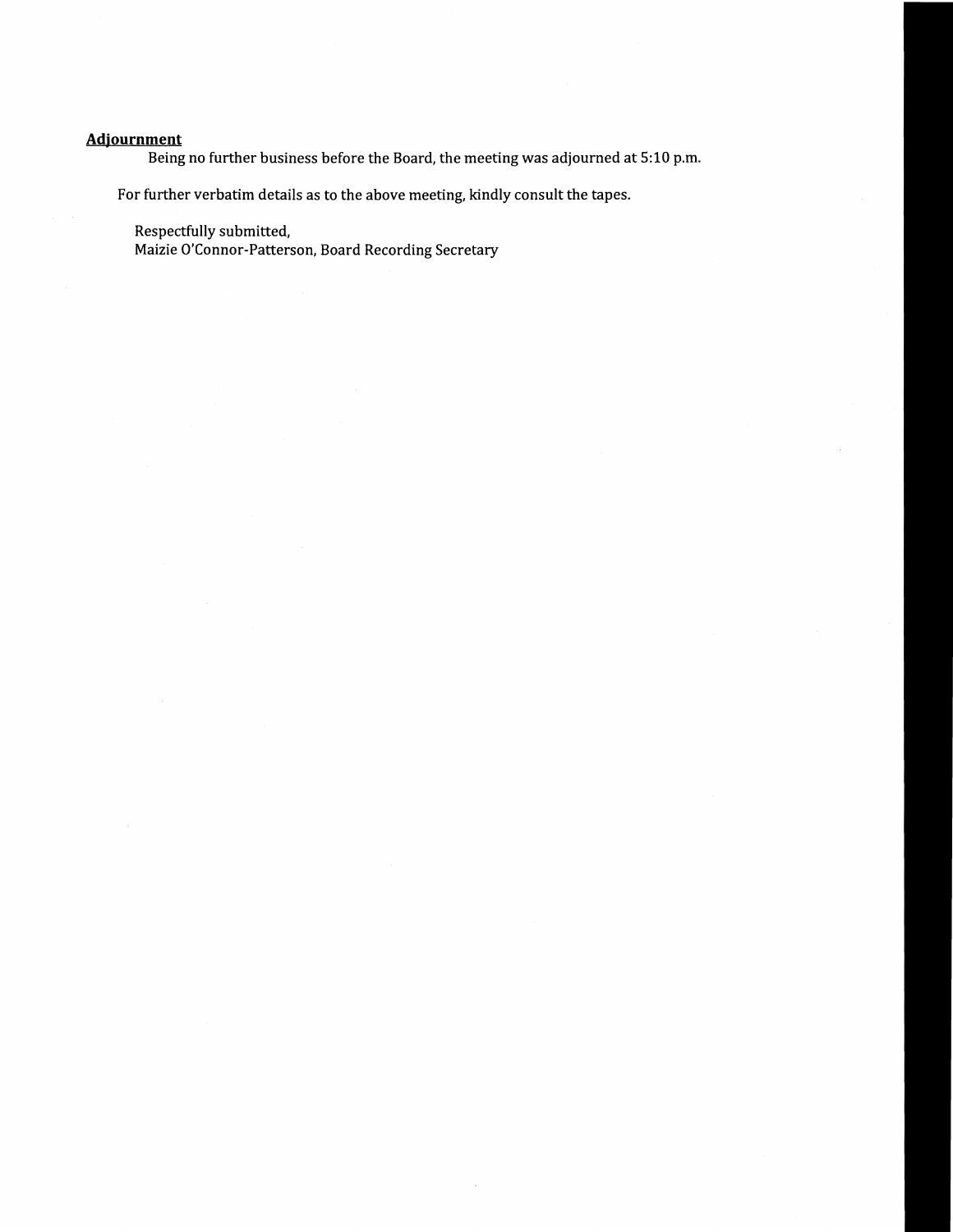## **Adjournment**

Being no further business before the Board. the meeting was adjourned at 5:10 p.m.

For further verbatim details as to the above meeting. kindly consult the tapes.

Respectfully submitted.

Maizie O'Connor-Patterson. Board Recording Secretary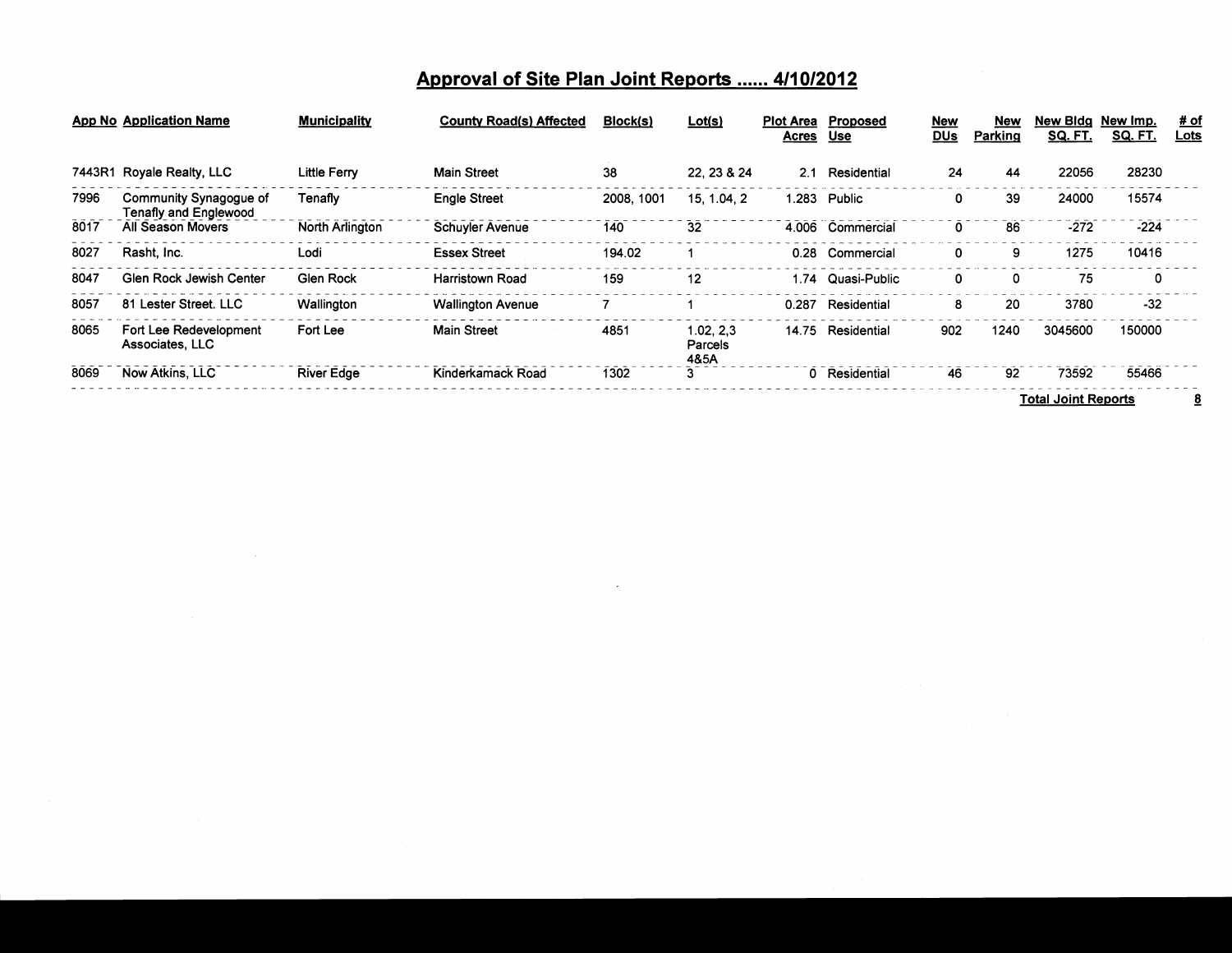# **Approval of Site Plan Joint Reports** ...... **411012012**

|      | App No Application Name                         | <b>Municipality</b>    | <b>County Road(s) Affected</b> | Block(s)   | Lot(s)                        | Plot Area<br><u>Acres</u> | Proposed<br><b>Use</b> | <b>New</b><br><b>DUs</b> | <b>New</b><br>Parking | New Bida<br><b>SQ. FT.</b> | New Imp.<br><u>SQ. FT.</u> | <u># of</u><br><b>Lots</b> |
|------|-------------------------------------------------|------------------------|--------------------------------|------------|-------------------------------|---------------------------|------------------------|--------------------------|-----------------------|----------------------------|----------------------------|----------------------------|
|      | 7443R1 Royale Realty, LLC                       | <b>Little Ferry</b>    | <b>Main Street</b>             | 38         | 22.23 & 24                    | 2.1                       | Residential            | 24                       | 44                    | 22056                      | 28230                      |                            |
| 7996 | Community Synagogue of<br>Tenafly and Englewood | Tenafly                | <b>Engle Street</b>            | 2008, 1001 | 15, 1.04, 2                   | 1.283                     | Public                 | 0                        | 39                    | 24000                      | 15574                      |                            |
| 8017 | All Season Movers                               | <b>North Arlington</b> | <b>Schuyler Avenue</b>         | 140        | 32                            | 4.006                     | Commercial             | 0                        | 86                    | $-272$                     | $-224$                     |                            |
| 8027 | Rasht, Inc.                                     | Lodi                   | <b>Essex Street</b>            | 194.02     |                               | 0.28                      | Commercial             | $\mathbf 0$              | 9                     | 1275                       | 10416                      |                            |
| 8047 | Glen Rock Jewish Center                         | <b>Glen Rock</b>       | <b>Harristown Road</b>         | 159        | 12                            | .74                       | Quasi-Public           | 0                        | 0                     | 75                         | 0                          |                            |
| 8057 | 81 Lester Street, LLC                           | Wallington             | <b>Wallington Avenue</b>       |            |                               | 0.287                     | Residential            | 8                        | 20                    | 3780                       | $-32$                      |                            |
| 8065 | Fort Lee Redevelopment<br>Associates, LLC       | Fort Lee               | <b>Main Street</b>             | 4851       | 1.02, 2.3<br>Parcels<br>48.5A | 14.75                     | Residential            | 902                      | 1240                  | 3045600                    | 150000                     |                            |
| 8069 | <b>Now Atkins, LLC</b>                          | <b>River Edge</b>      | Kinderkamack Road              | 1302       | 3                             |                           | 0 Residential          | 46                       | 92                    | 73592                      | 55466                      |                            |
|      |                                                 |                        |                                |            |                               |                           |                        |                          |                       | <b>Total Joint Reports</b> |                            | $\overline{8}$             |

 $\mathcal{L}(\mathcal{L}(\mathcal{L}))$  and  $\mathcal{L}(\mathcal{L}(\mathcal{L}))$  . The contribution of